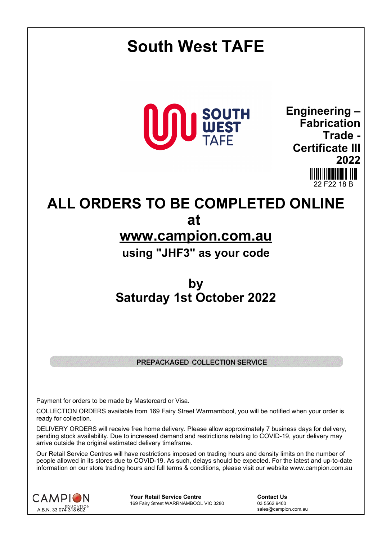

## PREPACKAGED COLLECTION SERVICE

Payment for orders to be made by Mastercard or Visa.

COLLECTION ORDERS available from 169 Fairy Street Warrnambool, you will be notified when your order is ready for collection.

DELIVERY ORDERS will receive free home delivery. Please allow approximately 7 business days for delivery, pending stock availability. Due to increased demand and restrictions relating to COVID-19, your delivery may arrive outside the original estimated delivery timeframe.

Our Retail Service Centres will have restrictions imposed on trading hours and density limits on the number of people allowed in its stores due to COVID-19. As such, delays should be expected. For the latest and up-to-date information on our store trading hours and full terms & conditions, please visit our website www.campion.com.au



**Your Retail Service Centre Contact Us** 169 Fairy Street WARRNAMBOOL VIC 3280

sales@campion.com.au